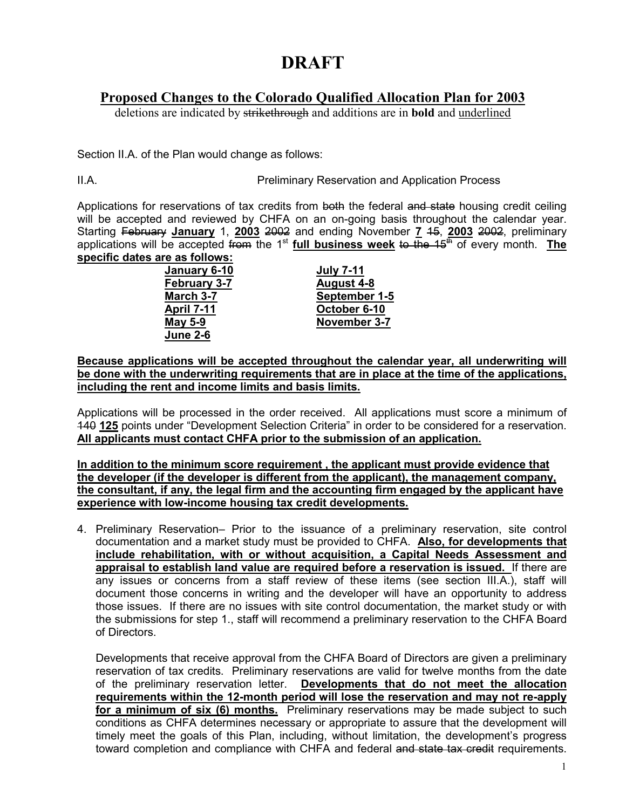# **DRAFT**

## **Proposed Changes to the Colorado Qualified Allocation Plan for 2003**

deletions are indicated by strikethrough and additions are in **bold** and underlined

Section II.A. of the Plan would change as follows:

II.A. Preliminary Reservation and Application Process

Applications for reservations of tax credits from both the federal and state housing credit ceiling will be accepted and reviewed by CHFA on an on-going basis throughout the calendar year. Starting February **January** 1, **2003** 2002 and ending November **7** 15, **2003** 2002, preliminary applications will be accepted from the 1<sup>st</sup> full business week to the 15<sup>th</sup> of every month. The **specific dates are as follows:**

| January 6-10        | <b>July 7-11</b>  |
|---------------------|-------------------|
| <b>February 3-7</b> | <b>August 4-8</b> |
| March 3-7           | September 1-5     |
| <u>April 7-11</u>   | October 6-10      |
| <b>May 5-9</b>      | November 3-7      |
| <b>June 2-6</b>     |                   |

**Because applications will be accepted throughout the calendar year, all underwriting will be done with the underwriting requirements that are in place at the time of the applications, including the rent and income limits and basis limits.**

Applications will be processed in the order received. All applications must score a minimum of 140 **125** points under "Development Selection Criteria" in order to be considered for a reservation. **All applicants must contact CHFA prior to the submission of an application.**

**In addition to the minimum score requirement , the applicant must provide evidence that the developer (if the developer is different from the applicant), the management company, the consultant, if any, the legal firm and the accounting firm engaged by the applicant have experience with low-income housing tax credit developments.**

4. Preliminary Reservation– Prior to the issuance of a preliminary reservation, site control documentation and a market study must be provided to CHFA. **Also, for developments that include rehabilitation, with or without acquisition, a Capital Needs Assessment and appraisal to establish land value are required before a reservation is issued.** If there are any issues or concerns from a staff review of these items (see section III.A.), staff will document those concerns in writing and the developer will have an opportunity to address those issues. If there are no issues with site control documentation, the market study or with the submissions for step 1., staff will recommend a preliminary reservation to the CHFA Board of Directors.

Developments that receive approval from the CHFA Board of Directors are given a preliminary reservation of tax credits. Preliminary reservations are valid for twelve months from the date of the preliminary reservation letter. **Developments that do not meet the allocation requirements within the 12-month period will lose the reservation and may not re-apply for a minimum of six (6) months.** Preliminary reservations may be made subject to such conditions as CHFA determines necessary or appropriate to assure that the development will timely meet the goals of this Plan, including, without limitation, the development's progress toward completion and compliance with CHFA and federal and state tax credit requirements.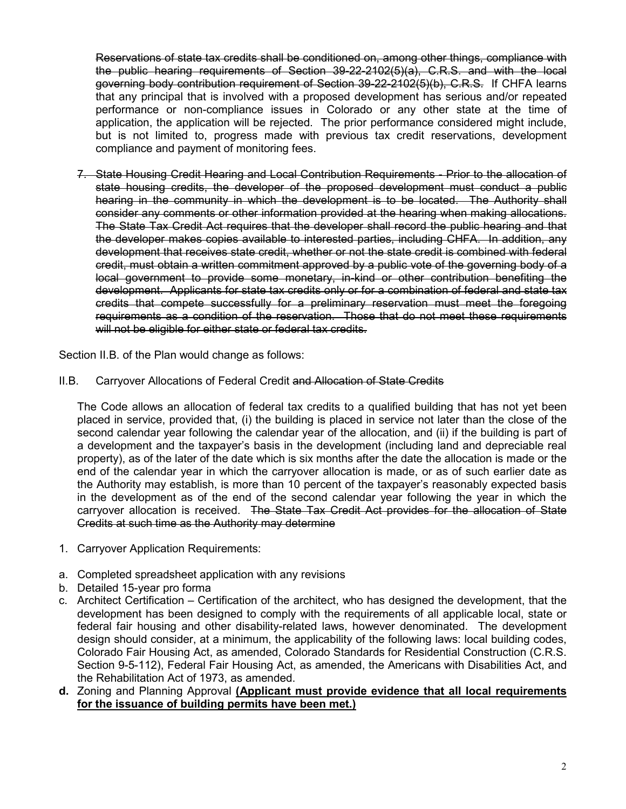Reservations of state tax credits shall be conditioned on, among other things, compliance with the public hearing requirements of Section 39-22-2102(5)(a), C.R.S. and with the local governing body contribution requirement of Section 39-22-2102(5)(b), C.R.S. If CHFA learns that any principal that is involved with a proposed development has serious and/or repeated performance or non-compliance issues in Colorado or any other state at the time of application, the application will be rejected. The prior performance considered might include, but is not limited to, progress made with previous tax credit reservations, development compliance and payment of monitoring fees.

7. State Housing Credit Hearing and Local Contribution Requirements - Prior to the allocation of state housing credits, the developer of the proposed development must conduct a public hearing in the community in which the development is to be located. The Authority shall consider any comments or other information provided at the hearing when making allocations. The State Tax Credit Act requires that the developer shall record the public hearing and that the developer makes copies available to interested parties, including CHFA. In addition, any development that receives state credit, whether or not the state credit is combined with federal credit, must obtain a written commitment approved by a public vote of the governing body of a local government to provide some monetary, in-kind or other contribution benefiting the development. Applicants for state tax credits only or for a combination of federal and state tax credits that compete successfully for a preliminary reservation must meet the foregoing requirements as a condition of the reservation. Those that do not meet these requirements will not be eligible for either state or federal tax credits.

Section II.B. of the Plan would change as follows:

II.B. Carryover Allocations of Federal Credit and Allocation of State Credits

The Code allows an allocation of federal tax credits to a qualified building that has not yet been placed in service, provided that, (i) the building is placed in service not later than the close of the second calendar year following the calendar year of the allocation, and (ii) if the building is part of a development and the taxpayer's basis in the development (including land and depreciable real property), as of the later of the date which is six months after the date the allocation is made or the end of the calendar year in which the carryover allocation is made, or as of such earlier date as the Authority may establish, is more than 10 percent of the taxpayer's reasonably expected basis in the development as of the end of the second calendar year following the year in which the carryover allocation is received. The State Tax Credit Act provides for the allocation of State Credits at such time as the Authority may determine

- 1. Carryover Application Requirements:
- a. Completed spreadsheet application with any revisions
- b. Detailed 15-year pro forma
- c. Architect Certification Certification of the architect, who has designed the development, that the development has been designed to comply with the requirements of all applicable local, state or federal fair housing and other disability-related laws, however denominated. The development design should consider, at a minimum, the applicability of the following laws: local building codes, Colorado Fair Housing Act, as amended, Colorado Standards for Residential Construction (C.R.S. Section 9-5-112), Federal Fair Housing Act, as amended, the Americans with Disabilities Act, and the Rehabilitation Act of 1973, as amended.
- **d.** Zoning and Planning Approval **(Applicant must provide evidence that all local requirements for the issuance of building permits have been met.)**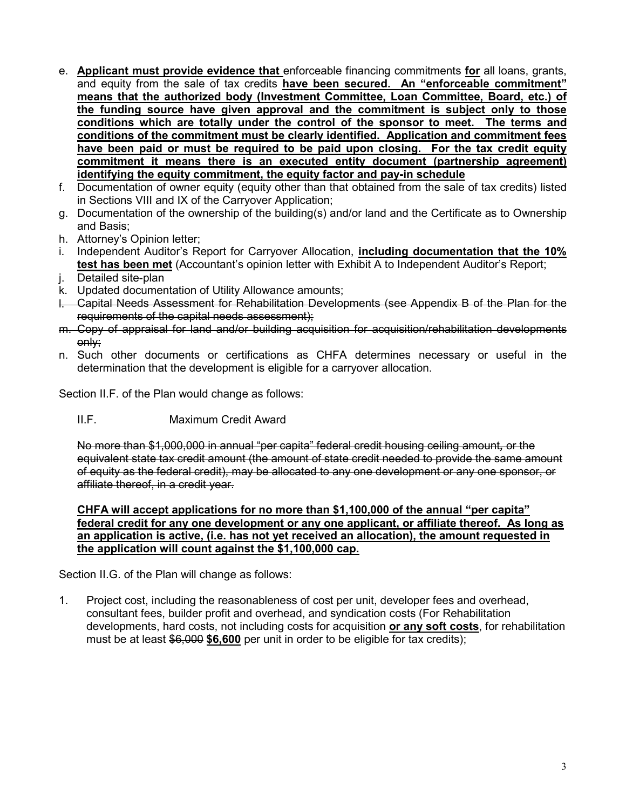- e. **Applicant must provide evidence that** enforceable financing commitments **for** all loans, grants, and equity from the sale of tax credits **have been secured. An "enforceable commitment" means that the authorized body (Investment Committee, Loan Committee, Board, etc.) of the funding source have given approval and the commitment is subject only to those conditions which are totally under the control of the sponsor to meet. The terms and conditions of the commitment must be clearly identified. Application and commitment fees have been paid or must be required to be paid upon closing. For the tax credit equity commitment it means there is an executed entity document (partnership agreement) identifying the equity commitment, the equity factor and pay-in schedule**
- f. Documentation of owner equity (equity other than that obtained from the sale of tax credits) listed in Sections VIII and IX of the Carryover Application;
- g. Documentation of the ownership of the building(s) and/or land and the Certificate as to Ownership and Basis;
- h. Attorney's Opinion letter;
- i. Independent Auditor's Report for Carryover Allocation, **including documentation that the 10% test has been met** (Accountant's opinion letter with Exhibit A to Independent Auditor's Report;
- j. Detailed site-plan
- k. Updated documentation of Utility Allowance amounts;
- l. Capital Needs Assessment for Rehabilitation Developments (see Appendix B of the Plan for the requirements of the capital needs assessment);
- m. Copy of appraisal for land and/or building acquisition for acquisition/rehabilitation developments only;
- n. Such other documents or certifications as CHFA determines necessary or useful in the determination that the development is eligible for a carryover allocation.

Section II.F. of the Plan would change as follows:

II.F. Maximum Credit Award

No more than \$1,000,000 in annual "per capita" federal credit housing ceiling amount*,* or the equivalent state tax credit amount (the amount of state credit needed to provide the same amount of equity as the federal credit), may be allocated to any one development or any one sponsor, or affiliate thereof, in a credit year.

#### **CHFA will accept applications for no more than \$1,100,000 of the annual "per capita" federal credit for any one development or any one applicant, or affiliate thereof. As long as an application is active, (i.e. has not yet received an allocation), the amount requested in the application will count against the \$1,100,000 cap.**

Section II.G. of the Plan will change as follows:

1. Project cost, including the reasonableness of cost per unit, developer fees and overhead, consultant fees, builder profit and overhead, and syndication costs (For Rehabilitation developments, hard costs, not including costs for acquisition **or any soft costs**, for rehabilitation must be at least \$6,000 **\$6,600** per unit in order to be eligible for tax credits);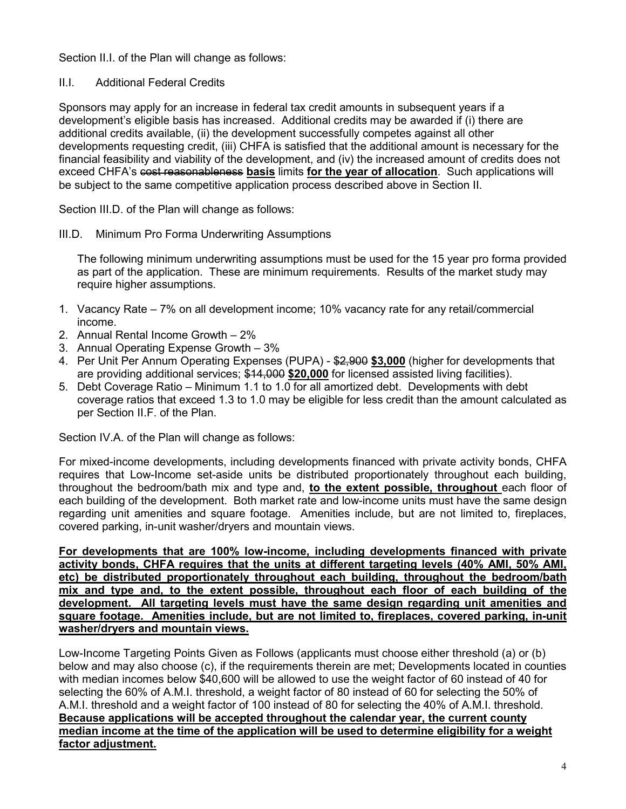Section II.I. of the Plan will change as follows:

### II.I. Additional Federal Credits

Sponsors may apply for an increase in federal tax credit amounts in subsequent years if a development's eligible basis has increased. Additional credits may be awarded if (i) there are additional credits available, (ii) the development successfully competes against all other developments requesting credit, (iii) CHFA is satisfied that the additional amount is necessary for the financial feasibility and viability of the development, and (iv) the increased amount of credits does not exceed CHFA's cost reasonableness **basis** limits **for the year of allocation**. Such applications will be subject to the same competitive application process described above in Section II.

Section III.D. of the Plan will change as follows:

III.D. Minimum Pro Forma Underwriting Assumptions

The following minimum underwriting assumptions must be used for the 15 year pro forma provided as part of the application. These are minimum requirements. Results of the market study may require higher assumptions.

- 1. Vacancy Rate 7% on all development income; 10% vacancy rate for any retail/commercial income.
- 2. Annual Rental Income Growth 2%
- 3. Annual Operating Expense Growth 3%
- 4. Per Unit Per Annum Operating Expenses (PUPA) \$2,900 **\$3,000** (higher for developments that are providing additional services; \$14,000 **\$20,000** for licensed assisted living facilities).
- 5. Debt Coverage Ratio Minimum 1.1 to 1.0 for all amortized debt. Developments with debt coverage ratios that exceed 1.3 to 1.0 may be eligible for less credit than the amount calculated as per Section II.F. of the Plan.

Section IV.A. of the Plan will change as follows:

For mixed-income developments, including developments financed with private activity bonds, CHFA requires that Low-Income set-aside units be distributed proportionately throughout each building, throughout the bedroom/bath mix and type and, **to the extent possible, throughout** each floor of each building of the development. Both market rate and low-income units must have the same design regarding unit amenities and square footage. Amenities include, but are not limited to, fireplaces, covered parking, in-unit washer/dryers and mountain views.

**For developments that are 100% low-income, including developments financed with private activity bonds, CHFA requires that the units at different targeting levels (40% AMI, 50% AMI, etc) be distributed proportionately throughout each building, throughout the bedroom/bath mix and type and, to the extent possible, throughout each floor of each building of the development. All targeting levels must have the same design regarding unit amenities and square footage. Amenities include, but are not limited to, fireplaces, covered parking, in-unit washer/dryers and mountain views.**

Low-Income Targeting Points Given as Follows (applicants must choose either threshold (a) or (b) below and may also choose (c), if the requirements therein are met; Developments located in counties with median incomes below \$40,600 will be allowed to use the weight factor of 60 instead of 40 for selecting the 60% of A.M.I. threshold, a weight factor of 80 instead of 60 for selecting the 50% of A.M.I. threshold and a weight factor of 100 instead of 80 for selecting the 40% of A.M.I. threshold. **Because applications will be accepted throughout the calendar year, the current county median income at the time of the application will be used to determine eligibility for a weight factor adjustment.**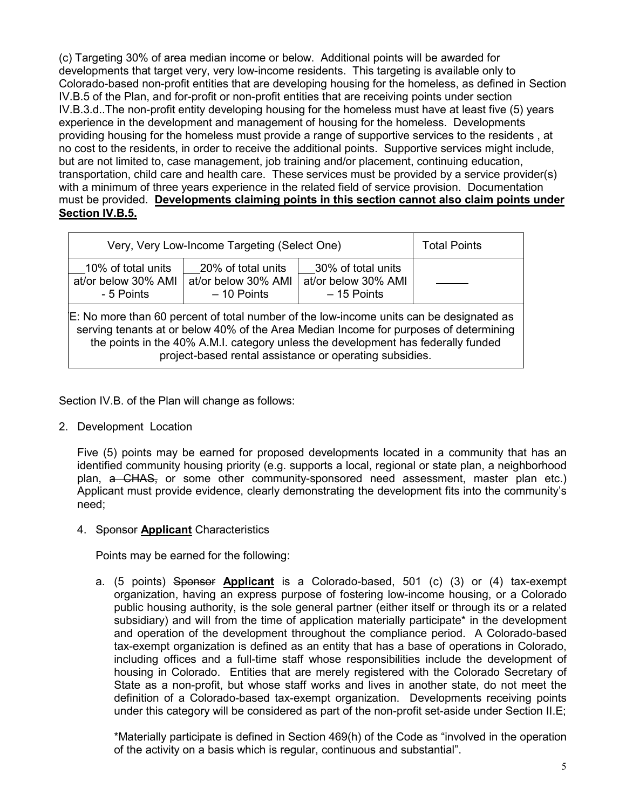(c) Targeting 30% of area median income or below. Additional points will be awarded for developments that target very, very low-income residents. This targeting is available only to Colorado-based non-profit entities that are developing housing for the homeless, as defined in Section IV.B.5 of the Plan, and for-profit or non-profit entities that are receiving points under section IV.B.3.d..The non-profit entity developing housing for the homeless must have at least five (5) years experience in the development and management of housing for the homeless.Developments providing housing for the homeless must provide a range of supportive services to the residents , at no cost to the residents, in order to receive the additional points. Supportive services might include, but are not limited to, case management, job training and/or placement, continuing education, transportation, child care and health care. These services must be provided by a service provider(s) with a minimum of three years experience in the related field of service provision. Documentation must be provided. **Developments claiming points in this section cannot also claim points under Section IV.B.5.**

| Very, Very Low-Income Targeting (Select One)                                                                                                                                                                                                                                                                                     |                                                           |                                                           | <b>Total Points</b> |  |
|----------------------------------------------------------------------------------------------------------------------------------------------------------------------------------------------------------------------------------------------------------------------------------------------------------------------------------|-----------------------------------------------------------|-----------------------------------------------------------|---------------------|--|
| 10% of total units<br>at/or below 30% AMI<br>- 5 Points                                                                                                                                                                                                                                                                          | 20% of total units<br>at/or below 30% AMI<br>$-10$ Points | 30% of total units<br>at/or below 30% AMI<br>$-15$ Points |                     |  |
| E: No more than 60 percent of total number of the low-income units can be designated as<br>serving tenants at or below 40% of the Area Median Income for purposes of determining<br>the points in the 40% A.M.I. category unless the development has federally funded<br>project-based rental assistance or operating subsidies. |                                                           |                                                           |                     |  |

Section IV.B. of the Plan will change as follows:

2. Development Location

Five (5) points may be earned for proposed developments located in a community that has an identified community housing priority (e.g. supports a local, regional or state plan, a neighborhood plan, a CHAS, or some other community-sponsored need assessment, master plan etc.) Applicant must provide evidence, clearly demonstrating the development fits into the community's need;

4. Sponsor **Applicant** Characteristics

Points may be earned for the following:

a. (5 points) Sponsor **Applicant** is a Colorado-based, 501 (c) (3) or (4) tax-exempt organization, having an express purpose of fostering low-income housing, or a Colorado public housing authority, is the sole general partner (either itself or through its or a related subsidiary) and will from the time of application materially participate\* in the development and operation of the development throughout the compliance period. A Colorado-based tax-exempt organization is defined as an entity that has a base of operations in Colorado, including offices and a full-time staff whose responsibilities include the development of housing in Colorado. Entities that are merely registered with the Colorado Secretary of State as a non-profit, but whose staff works and lives in another state, do not meet the definition of a Colorado-based tax-exempt organization. Developments receiving points under this category will be considered as part of the non-profit set-aside under Section II.E;

\*Materially participate is defined in Section 469(h) of the Code as "involved in the operation of the activity on a basis which is regular, continuous and substantial".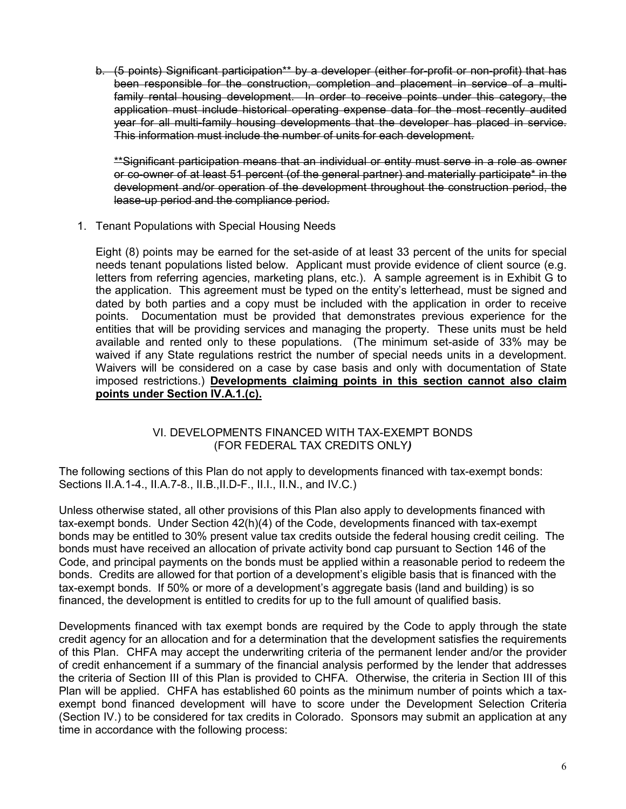b. (5 points) Significant participation\*\* by a developer (either for-profit or non-profit) that has been responsible for the construction, completion and placement in service of a multifamily rental housing development. In order to receive points under this category, the application must include historical operating expense data for the most recently audited year for all multi-family housing developments that the developer has placed in service. This information must include the number of units for each development.

\*\*Significant participation means that an individual or entity must serve in a role as owner or co-owner of at least 51 percent (of the general partner) and materially participate\* in the development and/or operation of the development throughout the construction period, the lease-up period and the compliance period.

1. Tenant Populations with Special Housing Needs

Eight (8) points may be earned for the set-aside of at least 33 percent of the units for special needs tenant populations listed below. Applicant must provide evidence of client source (e.g. letters from referring agencies, marketing plans, etc.). A sample agreement is in Exhibit G to the application. This agreement must be typed on the entity's letterhead, must be signed and dated by both parties and a copy must be included with the application in order to receive points. Documentation must be provided that demonstrates previous experience for the entities that will be providing services and managing the property. These units must be held available and rented only to these populations. (The minimum set-aside of 33% may be waived if any State regulations restrict the number of special needs units in a development. Waivers will be considered on a case by case basis and only with documentation of State imposed restrictions.) **Developments claiming points in this section cannot also claim points under Section IV.A.1.(c).**

#### VI. DEVELOPMENTS FINANCED WITH TAX-EXEMPT BONDS (FOR FEDERAL TAX CREDITS ONLY*)*

The following sections of this Plan do not apply to developments financed with tax-exempt bonds: Sections II.A.1-4., II.A.7-8., II.B.,II.D-F., II.I., II.N., and IV.C.)

Unless otherwise stated, all other provisions of this Plan also apply to developments financed with tax-exempt bonds. Under Section 42(h)(4) of the Code, developments financed with tax-exempt bonds may be entitled to 30% present value tax credits outside the federal housing credit ceiling. The bonds must have received an allocation of private activity bond cap pursuant to Section 146 of the Code, and principal payments on the bonds must be applied within a reasonable period to redeem the bonds. Credits are allowed for that portion of a development's eligible basis that is financed with the tax-exempt bonds. If 50% or more of a development's aggregate basis (land and building) is so financed, the development is entitled to credits for up to the full amount of qualified basis.

Developments financed with tax exempt bonds are required by the Code to apply through the state credit agency for an allocation and for a determination that the development satisfies the requirements of this Plan. CHFA may accept the underwriting criteria of the permanent lender and/or the provider of credit enhancement if a summary of the financial analysis performed by the lender that addresses the criteria of Section III of this Plan is provided to CHFA. Otherwise, the criteria in Section III of this Plan will be applied.CHFA has established 60 points as the minimum number of points which a taxexempt bond financed development will have to score under the Development Selection Criteria (Section IV.) to be considered for tax credits in Colorado. Sponsors may submit an application at any time in accordance with the following process: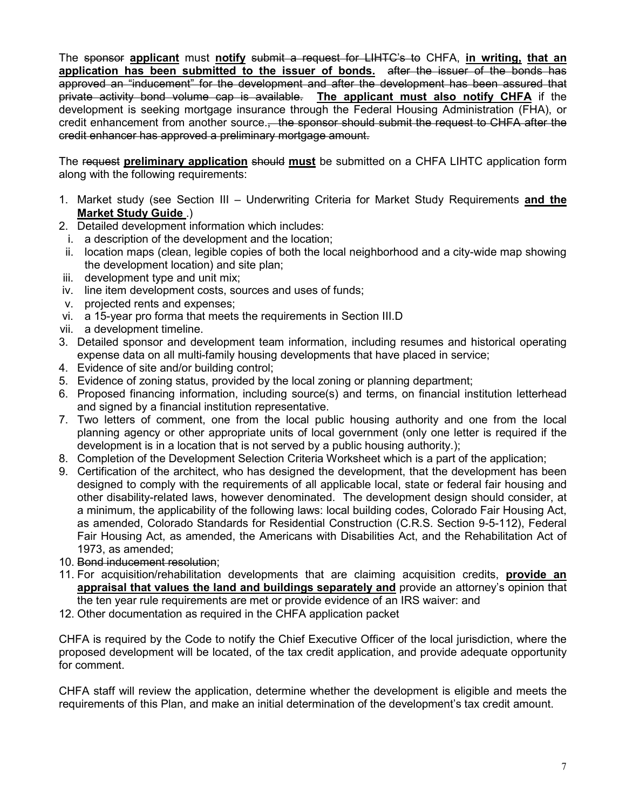The sponsor **applicant** must **notify** submit a request for LIHTC's to CHFA, **in writing, that an application has been submitted to the issuer of bonds.** after the issuer of the bonds has approved an "inducement" for the development and after the development has been assured that private activity bond volume cap is available. **The applicant must also notify CHFA** if the development is seeking mortgage insurance through the Federal Housing Administration (FHA), or credit enhancement from another source. the sponsor should submit the request to CHFA after the credit enhancer has approved a preliminary mortgage amount.

The request **preliminary application** should **must** be submitted on a CHFA LIHTC application form along with the following requirements:

- 1. Market study (see Section III Underwriting Criteria for Market Study Requirements **and the Market Study Guide** .)
- 2. Detailed development information which includes:
- i. a description of the development and the location;
- ii. location maps (clean, legible copies of both the local neighborhood and a city-wide map showing the development location) and site plan;
- iii. development type and unit mix;
- iv. line item development costs, sources and uses of funds;
- v. projected rents and expenses;
- vi. a 15-year pro forma that meets the requirements in Section III.D
- vii. a development timeline.
- 3. Detailed sponsor and development team information, including resumes and historical operating expense data on all multi-family housing developments that have placed in service;
- 4. Evidence of site and/or building control;
- 5. Evidence of zoning status, provided by the local zoning or planning department;
- 6. Proposed financing information, including source(s) and terms, on financial institution letterhead and signed by a financial institution representative.
- 7. Two letters of comment, one from the local public housing authority and one from the local planning agency or other appropriate units of local government (only one letter is required if the development is in a location that is not served by a public housing authority.);
- 8. Completion of the Development Selection Criteria Worksheet which is a part of the application;
- 9. Certification of the architect, who has designed the development, that the development has been designed to comply with the requirements of all applicable local, state or federal fair housing and other disability-related laws, however denominated. The development design should consider, at a minimum, the applicability of the following laws: local building codes, Colorado Fair Housing Act, as amended, Colorado Standards for Residential Construction (C.R.S. Section 9-5-112), Federal Fair Housing Act, as amended, the Americans with Disabilities Act, and the Rehabilitation Act of 1973, as amended;
- 10. Bond inducement resolution;
- 11. For acquisition/rehabilitation developments that are claiming acquisition credits, **provide an appraisal that values the land and buildings separately and** provide an attorney's opinion that the ten year rule requirements are met or provide evidence of an IRS waiver: and
- 12. Other documentation as required in the CHFA application packet

CHFA is required by the Code to notify the Chief Executive Officer of the local jurisdiction, where the proposed development will be located, of the tax credit application, and provide adequate opportunity for comment.

CHFA staff will review the application, determine whether the development is eligible and meets the requirements of this Plan, and make an initial determination of the development's tax credit amount.